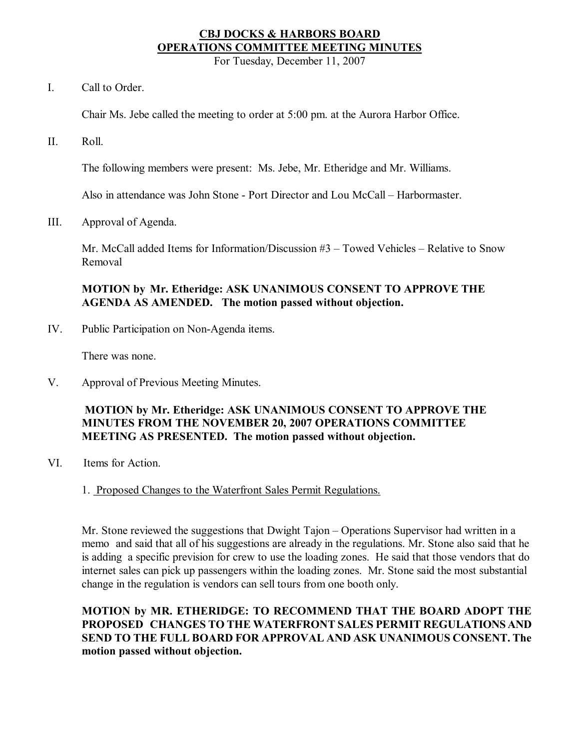# **CBJ DOCKS & HARBORS BOARD OPERATIONS COMMITTEE MEETING MINUTES**

For Tuesday, December 11, 2007

I. Call to Order.

Chair Ms. Jebe called the meeting to order at 5:00 pm. at the Aurora Harbor Office.

II. Roll.

The following members were present: Ms. Jebe, Mr. Etheridge and Mr. Williams.

Also in attendance was John Stone Port Director and Lou McCall – Harbormaster.

III. Approval of Agenda.

Mr. McCall added Items for Information/Discussion  $#3$  – Towed Vehicles – Relative to Snow Removal

# **MOTION by Mr. Etheridge: ASK UNANIMOUS CONSENT TO APPROVE THE AGENDA AS AMENDED. The motion passed without objection.**

IV. Public Participation on Non-Agenda items.

There was none.

V. Approval of Previous Meeting Minutes.

# **MOTION by Mr. Etheridge: ASK UNANIMOUS CONSENT TO APPROVE THE MINUTES FROM THE NOVEMBER 20, 2007 OPERATIONS COMMITTEE MEETING AS PRESENTED. The motion passed without objection.**

- VI. Items for Action.
	- 1. Proposed Changes to the Waterfront Sales Permit Regulations.

Mr. Stone reviewed the suggestions that Dwight Tajon – Operations Supervisor had written in a memo and said that all of his suggestions are already in the regulations. Mr. Stone also said that he is adding a specific prevision for crew to use the loading zones. He said that those vendors that do internet sales can pick up passengers within the loading zones. Mr. Stone said the most substantial change in the regulation is vendors can sell tours from one booth only.

**MOTION by MR. ETHERIDGE: TO RECOMMEND THAT THE BOARD ADOPT THE PROPOSED CHANGES TO THE WATERFRONT SALES PERMIT REGULATIONS AND SEND TO THE FULL BOARD FOR APPROVAL AND ASK UNANIMOUS CONSENT. The motion passed without objection.**